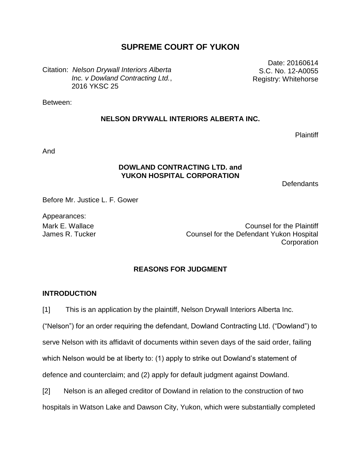# **SUPREME COURT OF YUKON**

Citation: *Nelson Drywall Interiors Alberta Inc. v Dowland Contracting Ltd.*, 2016 YKSC 25

Date: 20160614 S.C. No. 12-A0055 Registry: Whitehorse

Between:

### **NELSON DRYWALL INTERIORS ALBERTA INC.**

Plaintiff

And

### **DOWLAND CONTRACTING LTD. and YUKON HOSPITAL CORPORATION**

Defendants

Before Mr. Justice L. F. Gower

Appearances:

Mark E. Wallace **Counsel for the Plaintiff** James R. Tucker Counsel for the Defendant Yukon Hospital **Corporation** 

### **REASONS FOR JUDGMENT**

#### **INTRODUCTION**

[1] This is an application by the plaintiff, Nelson Drywall Interiors Alberta Inc.

("Nelson") for an order requiring the defendant, Dowland Contracting Ltd. ("Dowland") to serve Nelson with its affidavit of documents within seven days of the said order, failing which Nelson would be at liberty to: (1) apply to strike out Dowland's statement of

defence and counterclaim; and (2) apply for default judgment against Dowland.

[2] Nelson is an alleged creditor of Dowland in relation to the construction of two hospitals in Watson Lake and Dawson City, Yukon, which were substantially completed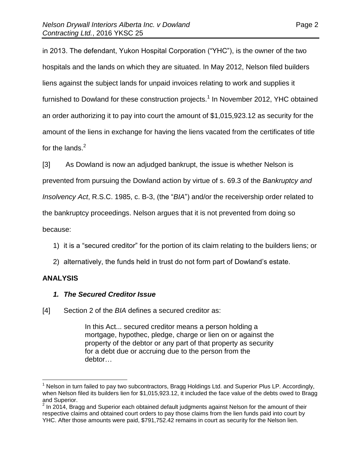in 2013. The defendant, Yukon Hospital Corporation ("YHC"), is the owner of the two hospitals and the lands on which they are situated. In May 2012, Nelson filed builders liens against the subject lands for unpaid invoices relating to work and supplies it furnished to Dowland for these construction projects.<sup>1</sup> In November 2012, YHC obtained an order authorizing it to pay into court the amount of \$1,015,923.12 as security for the amount of the liens in exchange for having the liens vacated from the certificates of title for the lands. $2$ 

[3] As Dowland is now an adjudged bankrupt, the issue is whether Nelson is prevented from pursuing the Dowland action by virtue of s. 69.3 of the *Bankruptcy and Insolvency Act*, R.S.C. 1985, c. B-3, (the "*BIA*") and/or the receivership order related to the bankruptcy proceedings. Nelson argues that it is not prevented from doing so because:

- 1) it is a "secured creditor" for the portion of its claim relating to the builders liens; or
- 2) alternatively, the funds held in trust do not form part of Dowland's estate.

## **ANALYSIS**

 $\overline{a}$ 

## *1. The Secured Creditor Issue*

[4] Section 2 of the *BIA* defines a secured creditor as:

In this Act... secured creditor means a person holding a mortgage, hypothec, pledge, charge or lien on or against the property of the debtor or any part of that property as security for a debt due or accruing due to the person from the debtor…

 $1$  Nelson in turn failed to pay two subcontractors, Bragg Holdings Ltd. and Superior Plus LP. Accordingly, when Nelson filed its builders lien for \$1,015,923.12, it included the face value of the debts owed to Bragg and Superior.

 $2$  In 2014, Bragg and Superior each obtained default judgments against Nelson for the amount of their respective claims and obtained court orders to pay those claims from the lien funds paid into court by YHC. After those amounts were paid, \$791,752.42 remains in court as security for the Nelson lien.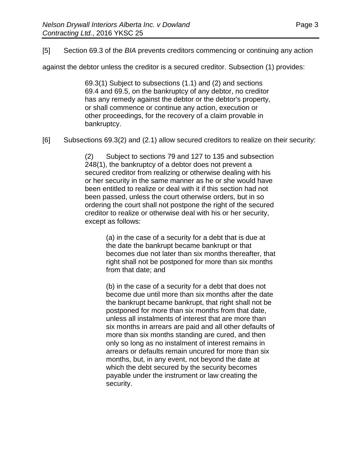[5] Section 69.3 of the *BIA* prevents creditors commencing or continuing any action

against the debtor unless the creditor is a secured creditor. Subsection (1) provides:

69.3(1) Subject to subsections (1.1) and (2) and sections 69.4 and 69.5, on the bankruptcy of any debtor, no creditor has any remedy against the debtor or the debtor's property, or shall commence or continue any action, execution or other proceedings, for the recovery of a claim provable in bankruptcy.

[6] Subsections 69.3(2) and (2.1) allow secured creditors to realize on their security:

(2) Subject to sections 79 and 127 to 135 and subsection 248(1), the bankruptcy of a debtor does not prevent a secured creditor from realizing or otherwise dealing with his or her security in the same manner as he or she would have been entitled to realize or deal with it if this section had not been passed, unless the court otherwise orders, but in so ordering the court shall not postpone the right of the secured creditor to realize or otherwise deal with his or her security, except as follows:

> (a) in the case of a security for a debt that is due at the date the bankrupt became bankrupt or that becomes due not later than six months thereafter, that right shall not be postponed for more than six months from that date; and

> (b) in the case of a security for a debt that does not become due until more than six months after the date the bankrupt became bankrupt, that right shall not be postponed for more than six months from that date, unless all instalments of interest that are more than six months in arrears are paid and all other defaults of more than six months standing are cured, and then only so long as no instalment of interest remains in arrears or defaults remain uncured for more than six months, but, in any event, not beyond the date at which the debt secured by the security becomes payable under the instrument or law creating the security.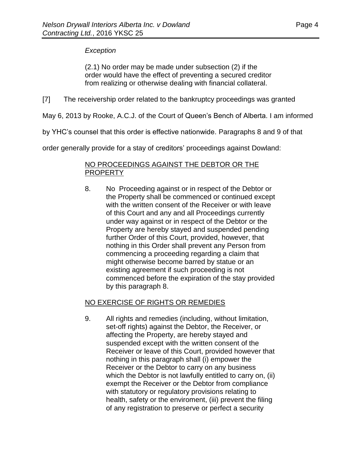*Exception*

(2.1) No order may be made under subsection (2) if the order would have the effect of preventing a secured creditor from realizing or otherwise dealing with financial collateral.

[7] The receivership order related to the bankruptcy proceedings was granted

May 6, 2013 by Rooke, A.C.J. of the Court of Queen's Bench of Alberta. I am informed

by YHC's counsel that this order is effective nationwide. Paragraphs 8 and 9 of that

order generally provide for a stay of creditors' proceedings against Dowland:

## NO PROCEEDINGS AGAINST THE DEBTOR OR THE PROPERTY

8. No Proceeding against or in respect of the Debtor or the Property shall be commenced or continued except with the written consent of the Receiver or with leave of this Court and any and all Proceedings currently under way against or in respect of the Debtor or the Property are hereby stayed and suspended pending further Order of this Court, provided, however, that nothing in this Order shall prevent any Person from commencing a proceeding regarding a claim that might otherwise become barred by statue or an existing agreement if such proceeding is not commenced before the expiration of the stay provided by this paragraph 8.

## NO EXERCISE OF RIGHTS OR REMEDIES

9. All rights and remedies (including, without limitation, set-off rights) against the Debtor, the Receiver, or affecting the Property, are hereby stayed and suspended except with the written consent of the Receiver or leave of this Court, provided however that nothing in this paragraph shall (i) empower the Receiver or the Debtor to carry on any business which the Debtor is not lawfully entitled to carry on, (ii) exempt the Receiver or the Debtor from compliance with statutory or regulatory provisions relating to health, safety or the enviroment, (iii) prevent the filing of any registration to preserve or perfect a security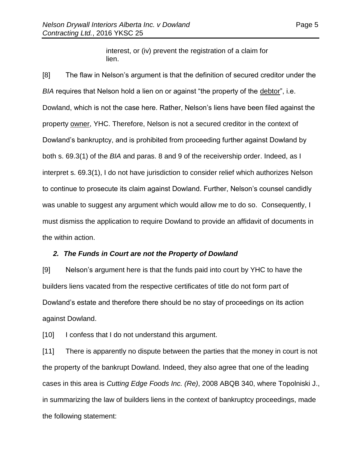interest, or (iv) prevent the registration of a claim for lien.

[8] The flaw in Nelson's argument is that the definition of secured creditor under the *BIA* requires that Nelson hold a lien on or against "the property of the debtor", i.e. Dowland, which is not the case here. Rather, Nelson's liens have been filed against the property owner, YHC. Therefore, Nelson is not a secured creditor in the context of Dowland's bankruptcy, and is prohibited from proceeding further against Dowland by both s. 69.3(1) of the *BIA* and paras. 8 and 9 of the receivership order. Indeed, as I interpret s. 69.3(1), I do not have jurisdiction to consider relief which authorizes Nelson to continue to prosecute its claim against Dowland. Further, Nelson's counsel candidly was unable to suggest any argument which would allow me to do so. Consequently, I must dismiss the application to require Dowland to provide an affidavit of documents in the within action.

#### *2. The Funds in Court are not the Property of Dowland*

[9] Nelson's argument here is that the funds paid into court by YHC to have the builders liens vacated from the respective certificates of title do not form part of Dowland's estate and therefore there should be no stay of proceedings on its action against Dowland.

[10] I confess that I do not understand this argument.

[11] There is apparently no dispute between the parties that the money in court is not the property of the bankrupt Dowland. Indeed, they also agree that one of the leading cases in this area is *Cutting Edge Foods Inc. (Re)*, 2008 ABQB 340, where Topolniski J., in summarizing the law of builders liens in the context of bankruptcy proceedings, made the following statement: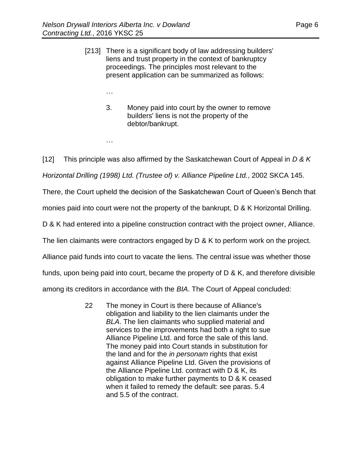…

- [213] There is a significant body of law addressing builders' liens and trust property in the context of bankruptcy proceedings. The principles most relevant to the present application can be summarized as follows: … 3. Money paid into court by the owner to remove
	- builders' liens is not the property of the debtor/bankrupt.

[12] This principle was also affirmed by the Saskatchewan Court of Appeal in *D & K* 

*Horizontal Drilling (1998) Ltd. (Trustee of) v. Alliance Pipeline Ltd.*, 2002 SKCA 145.

There, the Court upheld the decision of the Saskatchewan Court of Queen's Bench that

monies paid into court were not the property of the bankrupt, D & K Horizontal Drilling.

D & K had entered into a pipeline construction contract with the project owner, Alliance.

The lien claimants were contractors engaged by D & K to perform work on the project.

Alliance paid funds into court to vacate the liens. The central issue was whether those

funds, upon being paid into court, became the property of D & K, and therefore divisible

among its creditors in accordance with the *BIA*. The Court of Appeal concluded:

22 The money in Court is there because of Alliance's obligation and liability to the lien claimants under the *BLA*. The lien claimants who supplied material and services to the improvements had both a right to sue Alliance Pipeline Ltd. and force the sale of this land. The money paid into Court stands in substitution for the land and for the *in personam* rights that exist against Alliance Pipeline Ltd. Given the provisions of the Alliance Pipeline Ltd. contract with D & K, its obligation to make further payments to D & K ceased when it failed to remedy the default: see paras. 5.4 and 5.5 of the contract.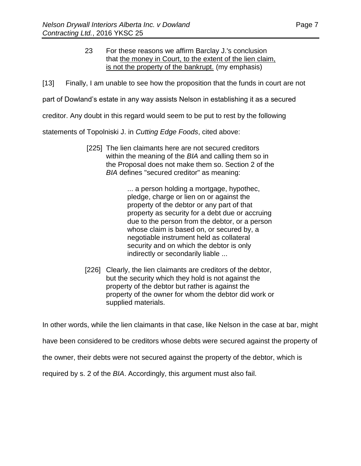- 23 For these reasons we affirm Barclay J.'s conclusion that the money in Court, to the extent of the lien claim, is not the property of the bankrupt. (my emphasis)
- [13] Finally, I am unable to see how the proposition that the funds in court are not

part of Dowland's estate in any way assists Nelson in establishing it as a secured

creditor. Any doubt in this regard would seem to be put to rest by the following

statements of Topolniski J. in *Cutting Edge Foods*, cited above:

[225] The lien claimants here are not secured creditors within the meaning of the *BIA* and calling them so in the Proposal does not make them so. Section 2 of the *BIA* defines "secured creditor" as meaning:

> ... a person holding a mortgage, hypothec, pledge, charge or lien on or against the property of the debtor or any part of that property as security for a debt due or accruing due to the person from the debtor, or a person whose claim is based on, or secured by, a negotiable instrument held as collateral security and on which the debtor is only indirectly or secondarily liable ...

[226] Clearly, the lien claimants are creditors of the debtor, but the security which they hold is not against the property of the debtor but rather is against the property of the owner for whom the debtor did work or supplied materials.

In other words, while the lien claimants in that case, like Nelson in the case at bar, might

have been considered to be creditors whose debts were secured against the property of

the owner, their debts were not secured against the property of the debtor, which is

required by s. 2 of the *BIA*. Accordingly, this argument must also fail.